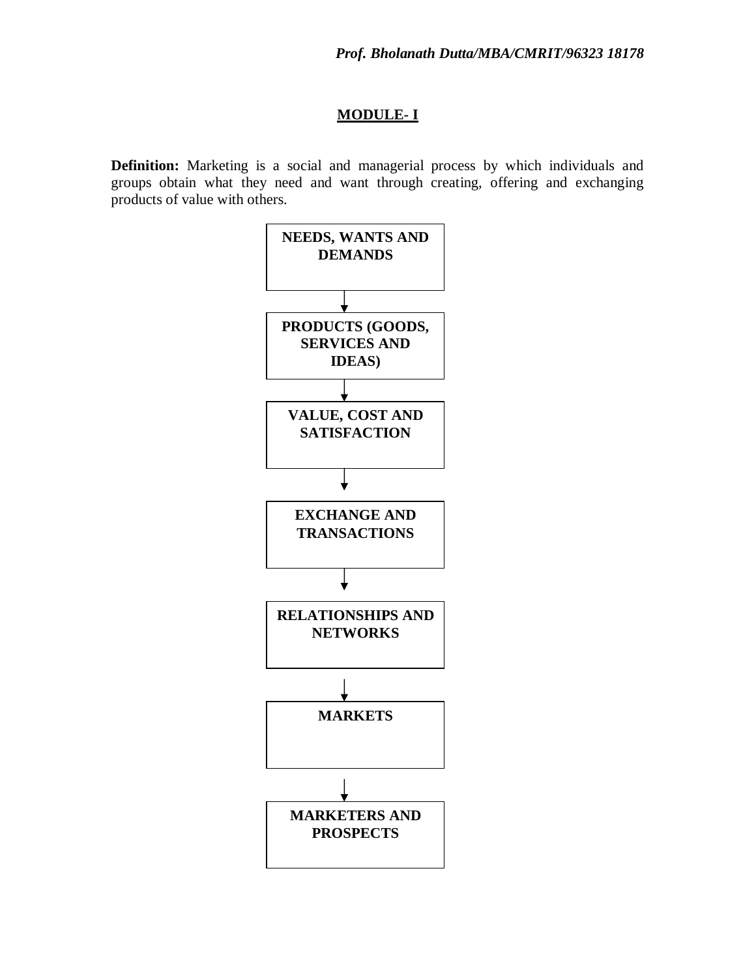#### **MODULE- I**

**Definition:** Marketing is a social and managerial process by which individuals and groups obtain what they need and want through creating, offering and exchanging products of value with others.

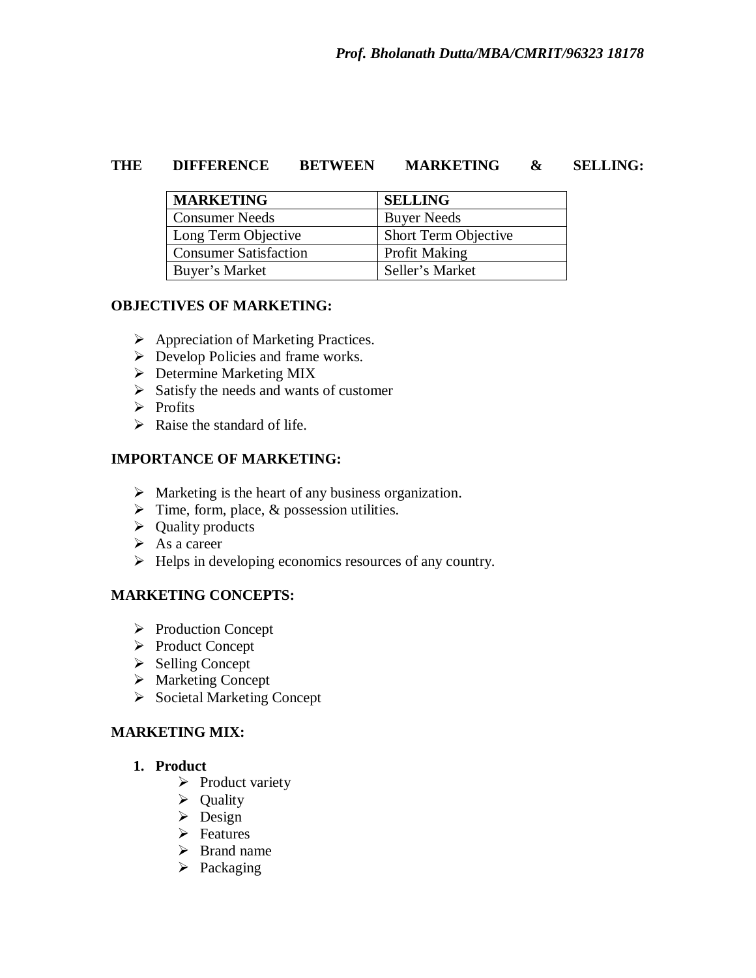#### **THE DIFFERENCE BETWEEN MARKETING & SELLING:**

| <b>MARKETING</b>             | <b>SELLING</b>       |
|------------------------------|----------------------|
| <b>Consumer Needs</b>        | <b>Buyer Needs</b>   |
| Long Term Objective          | Short Term Objective |
| <b>Consumer Satisfaction</b> | <b>Profit Making</b> |
| Buyer's Market               | Seller's Market      |

#### **OBJECTIVES OF MARKETING:**

- $\triangleright$  Appreciation of Marketing Practices.
- $\triangleright$  Develop Policies and frame works.
- $\triangleright$  Determine Marketing MIX
- $\triangleright$  Satisfy the needs and wants of customer
- $\triangleright$  Profits
- $\triangleright$  Raise the standard of life.

# **IMPORTANCE OF MARKETING:**

- $\triangleright$  Marketing is the heart of any business organization.
- $\triangleright$  Time, form, place, & possession utilities.
- $\triangleright$  Quality products
- $\triangleright$  As a career
- $\triangleright$  Helps in developing economics resources of any country.

#### **MARKETING CONCEPTS:**

- $\triangleright$  Production Concept
- Product Concept
- ▶ Selling Concept
- Marketing Concept
- $\triangleright$  Societal Marketing Concept

# **MARKETING MIX:**

#### **1. Product**

- $\triangleright$  Product variety
- $\triangleright$  Quality
- $\triangleright$  Design
- $\triangleright$  Features
- $\triangleright$  Brand name
- $\triangleright$  Packaging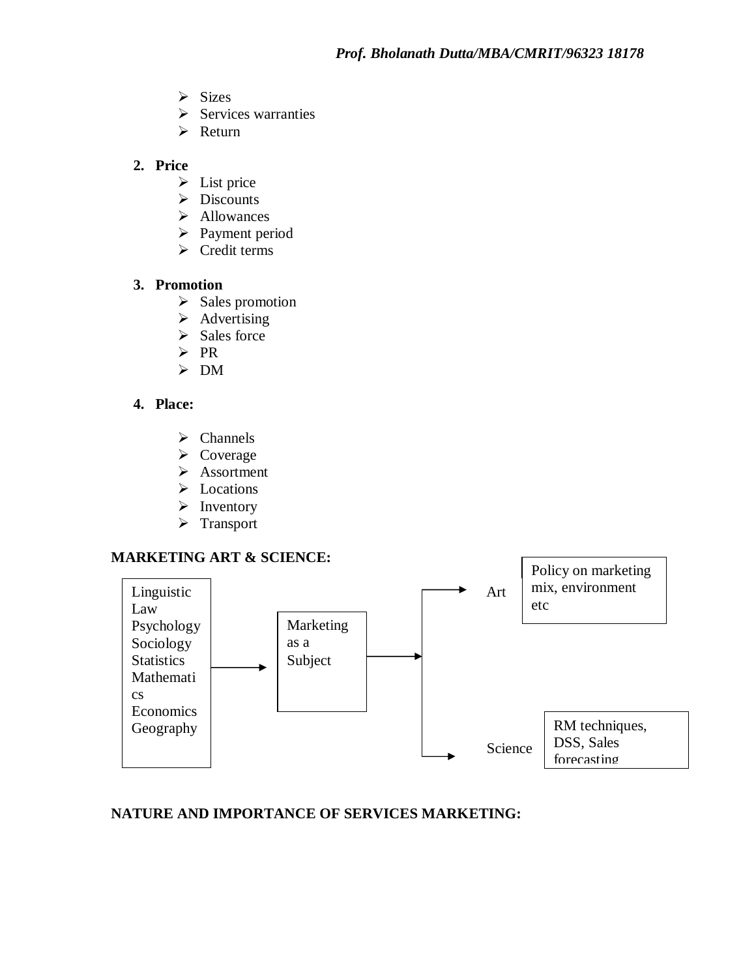- $\triangleright$  Sizes
- $\triangleright$  Services warranties
- $\triangleright$  Return

# **2. Price**

- $\triangleright$  List price
- $\triangleright$  Discounts
- > Allowances
- $\triangleright$  Payment period
- $\triangleright$  Credit terms

#### **3. Promotion**

- $\triangleright$  Sales promotion
- $\triangleright$  Advertising
- $\triangleright$  Sales force
- $\triangleright$  PR
- > DM

# **4. Place:**

- $\triangleright$  Channels
- $\triangleright$  Coverage
- $\triangleright$  Assortment
- > Locations
- $\triangleright$  Inventory
- > Transport

# **MARKETING ART & SCIENCE:**



# **NATURE AND IMPORTANCE OF SERVICES MARKETING:**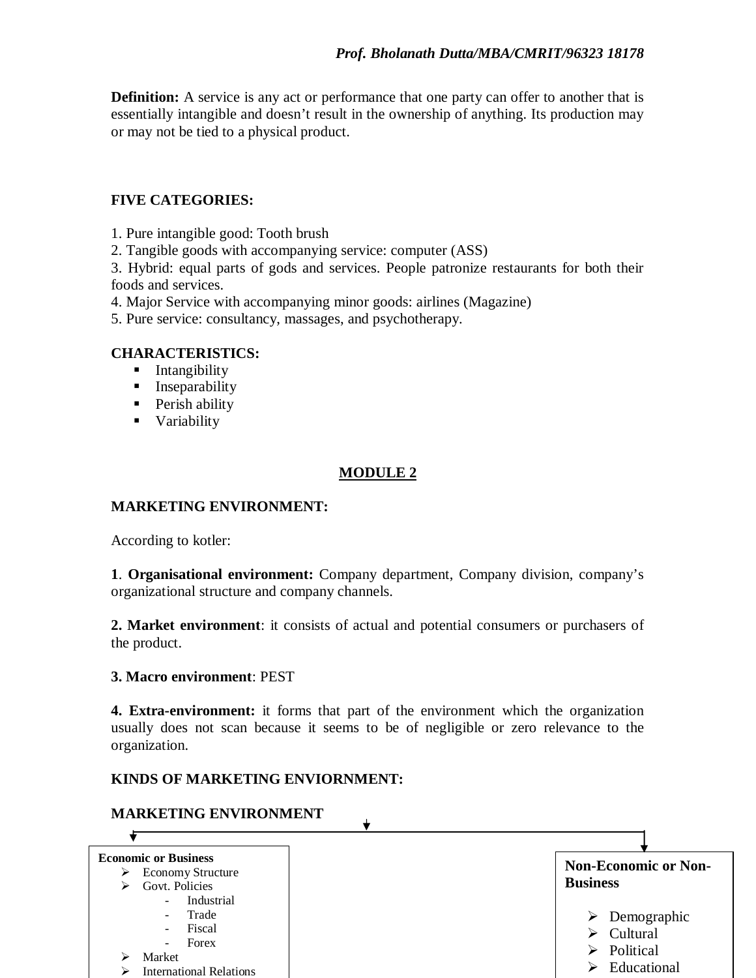**Definition:** A service is any act or performance that one party can offer to another that is essentially intangible and doesn't result in the ownership of anything. Its production may or may not be tied to a physical product.

# **FIVE CATEGORIES:**

1. Pure intangible good: Tooth brush

2. Tangible goods with accompanying service: computer (ASS)

3. Hybrid: equal parts of gods and services. People patronize restaurants for both their foods and services.

4. Major Service with accompanying minor goods: airlines (Magazine)

5. Pure service: consultancy, massages, and psychotherapy.

#### **CHARACTERISTICS:**

- **Intangibility**
- **Inseparability**
- **Perish ability**
- **variability**

# **MODULE 2**

# **MARKETING ENVIRONMENT:**

According to kotler:

**1**. **Organisational environment:** Company department, Company division, company's organizational structure and company channels.

**2. Market environment**: it consists of actual and potential consumers or purchasers of the product.

#### **3. Macro environment**: PEST

**4. Extra-environment:** it forms that part of the environment which the organization usually does not scan because it seems to be of negligible or zero relevance to the organization.

#### **KINDS OF MARKETING ENVIORNMENT:**

#### **MARKETING ENVIRONMENT Economic or Business**  $\triangleright$  Economy Structure  $\triangleright$  Govt. Policies - Industrial **Trade Fiscal** Forex Market International Relations **Non-Economic or Non-Business**  $\triangleright$  Demographic  $\sum$  Cultural > Political > Educational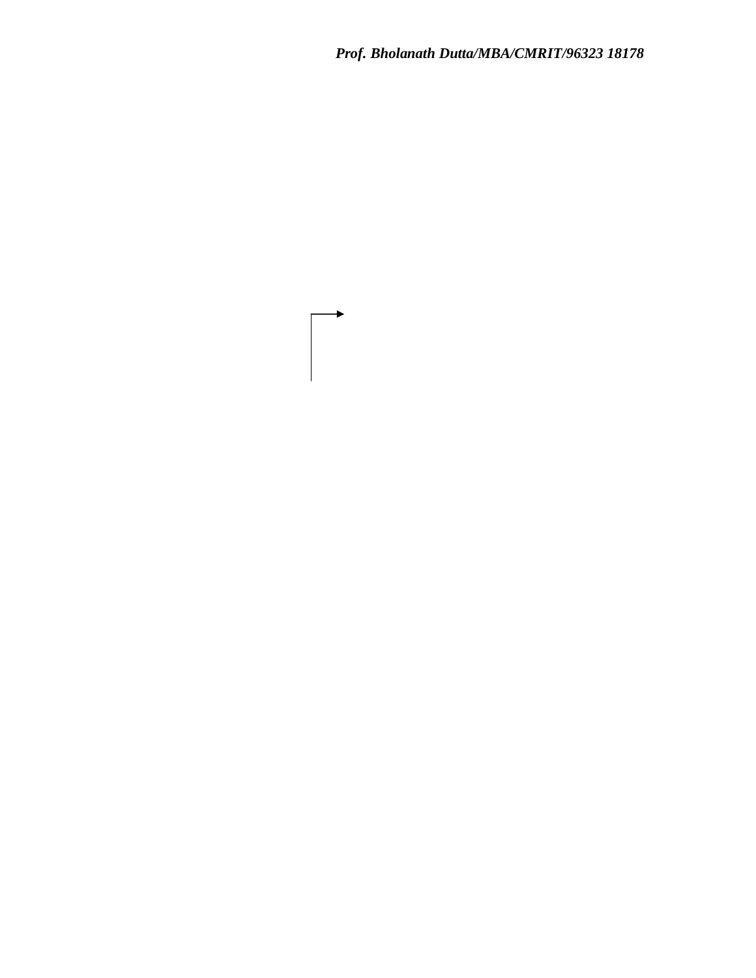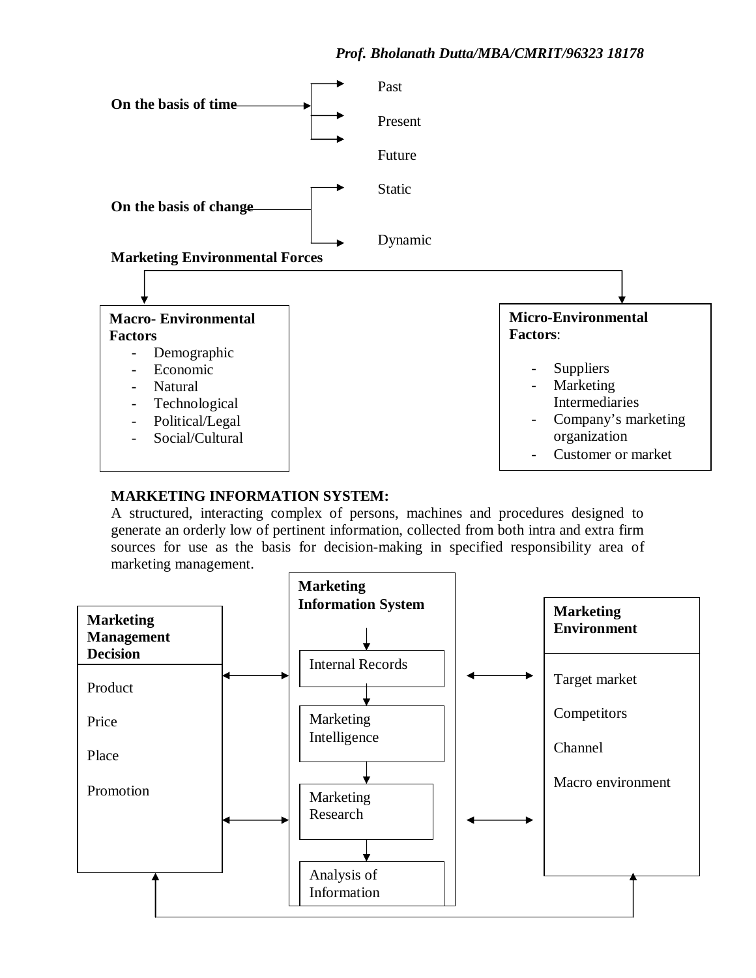#### *Prof. Bholanath Dutta/MBA/CMRIT/96323 18178*



#### **MARKETING INFORMATION SYSTEM:**

A structured, interacting complex of persons, machines and procedures designed to generate an orderly low of pertinent information, collected from both intra and extra firm sources for use as the basis for decision-making in specified responsibility area of marketing management.

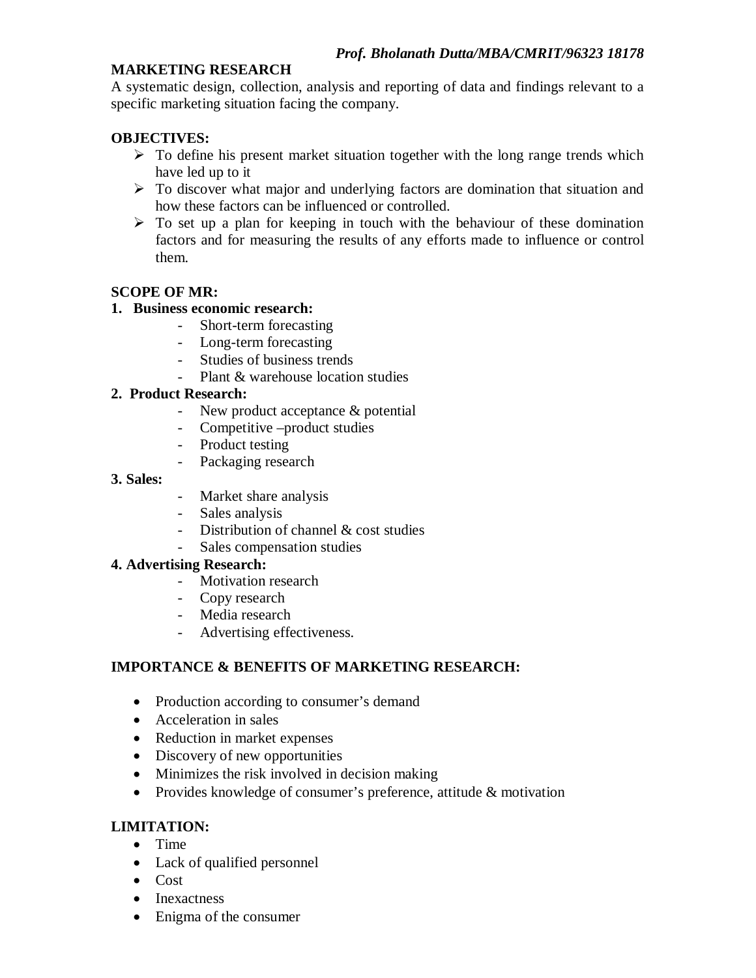#### **MARKETING RESEARCH**

A systematic design, collection, analysis and reporting of data and findings relevant to a specific marketing situation facing the company.

#### **OBJECTIVES:**

- $\triangleright$  To define his present market situation together with the long range trends which have led up to it
- $\triangleright$  To discover what major and underlying factors are domination that situation and how these factors can be influenced or controlled.
- $\triangleright$  To set up a plan for keeping in touch with the behaviour of these domination factors and for measuring the results of any efforts made to influence or control them.

#### **SCOPE OF MR:**

#### **1. Business economic research:**

- Short-term forecasting
- Long-term forecasting
- Studies of business trends
- Plant & warehouse location studies

#### **2. Product Research:**

- New product acceptance  $&$  potential
- Competitive –product studies
- Product testing
- Packaging research

#### **3. Sales:**

- Market share analysis
- Sales analysis
- Distribution of channel & cost studies
- Sales compensation studies

#### **4. Advertising Research:**

- Motivation research
- Copy research
- Media research
- Advertising effectiveness.

# **IMPORTANCE & BENEFITS OF MARKETING RESEARCH:**

- Production according to consumer's demand
- Acceleration in sales
- Reduction in market expenses
- Discovery of new opportunities
- Minimizes the risk involved in decision making
- Provides knowledge of consumer's preference, attitude & motivation

# **LIMITATION:**

- $\bullet$  Time
- Lack of qualified personnel
- $\bullet$  Cost
- Inexactness
- Enigma of the consumer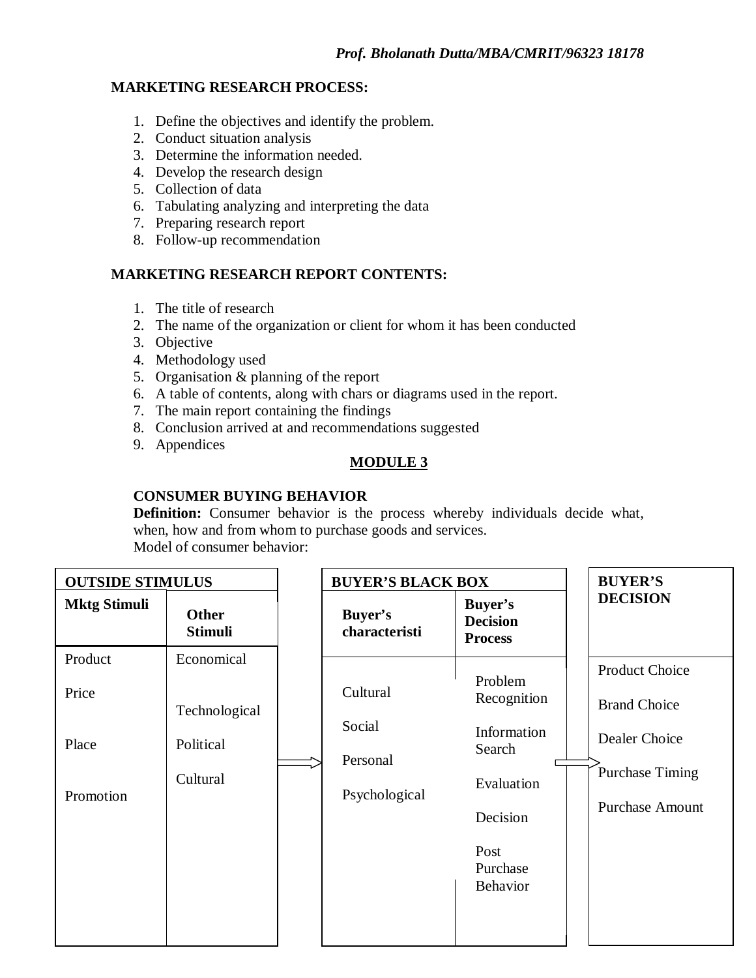#### **MARKETING RESEARCH PROCESS:**

- 1. Define the objectives and identify the problem.
- 2. Conduct situation analysis
- 3. Determine the information needed.
- 4. Develop the research design
- 5. Collection of data
- 6. Tabulating analyzing and interpreting the data
- 7. Preparing research report
- 8. Follow-up recommendation

#### **MARKETING RESEARCH REPORT CONTENTS:**

- 1. The title of research
- 2. The name of the organization or client for whom it has been conducted
- 3. Objective
- 4. Methodology used
- 5. Organisation & planning of the report
- 6. A table of contents, along with chars or diagrams used in the report.
- 7. The main report containing the findings
- 8. Conclusion arrived at and recommendations suggested
- 9. Appendices

# **MODULE 3**

# **CONSUMER BUYING BEHAVIOR**

**Definition:** Consumer behavior is the process whereby individuals decide what, when, how and from whom to purchase goods and services. Model of consumer behavior:

| <b>OUTSIDE STIMULUS</b> |                                | <b>BUYER'S BLACK BOX</b>  |                                                                         | <b>BUYER'S</b>                                                    |
|-------------------------|--------------------------------|---------------------------|-------------------------------------------------------------------------|-------------------------------------------------------------------|
| <b>Mktg Stimuli</b>     | <b>Other</b><br><b>Stimuli</b> | Buyer's<br>characteristi  | Buyer's<br><b>Decision</b><br><b>Process</b>                            | <b>DECISION</b>                                                   |
| Product<br>Price        | Economical<br>Technological    | Cultural<br>Social        | Problem<br>Recognition<br>Information                                   | <b>Product Choice</b><br><b>Brand Choice</b>                      |
| Place<br>Promotion      | Political<br>Cultural          | Personal<br>Psychological | Search<br>Evaluation<br>Decision<br>Post<br>Purchase<br><b>Behavior</b> | Dealer Choice<br><b>Purchase Timing</b><br><b>Purchase Amount</b> |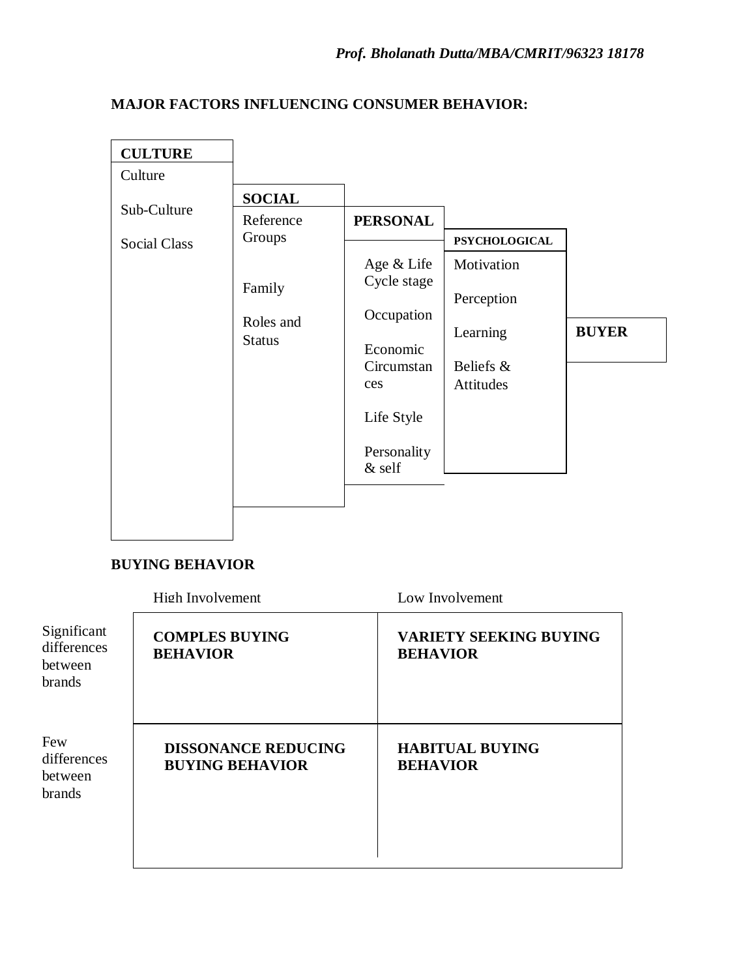# **MAJOR FACTORS INFLUENCING CONSUMER BEHAVIOR:**

| <b>CULTURE</b><br>Culture |               |                         |                      |              |
|---------------------------|---------------|-------------------------|----------------------|--------------|
|                           | <b>SOCIAL</b> |                         |                      |              |
| Sub-Culture               | Reference     | <b>PERSONAL</b>         |                      |              |
| <b>Social Class</b>       | Groups        |                         | <b>PSYCHOLOGICAL</b> |              |
|                           |               | Age & Life              | Motivation           |              |
|                           | Family        | Cycle stage             | Perception           |              |
|                           | Roles and     | Occupation              |                      |              |
|                           | <b>Status</b> |                         | Learning             | <b>BUYER</b> |
|                           |               | Economic<br>Circumstan  | Beliefs &            |              |
|                           |               | ces                     | Attitudes            |              |
|                           |               | Life Style              |                      |              |
|                           |               | Personality<br>$&$ self |                      |              |

#### **BUYING BEHAVIOR**

|                                                 | High Involvement                                     | Low Involvement                                  |
|-------------------------------------------------|------------------------------------------------------|--------------------------------------------------|
| Significant<br>differences<br>between<br>brands | <b>COMPLES BUYING</b><br><b>BEHAVIOR</b>             | <b>VARIETY SEEKING BUYING</b><br><b>BEHAVIOR</b> |
| Few<br>differences<br>between<br>brands         | <b>DISSONANCE REDUCING</b><br><b>BUYING BEHAVIOR</b> | <b>HABITUAL BUYING</b><br><b>BEHAVIOR</b>        |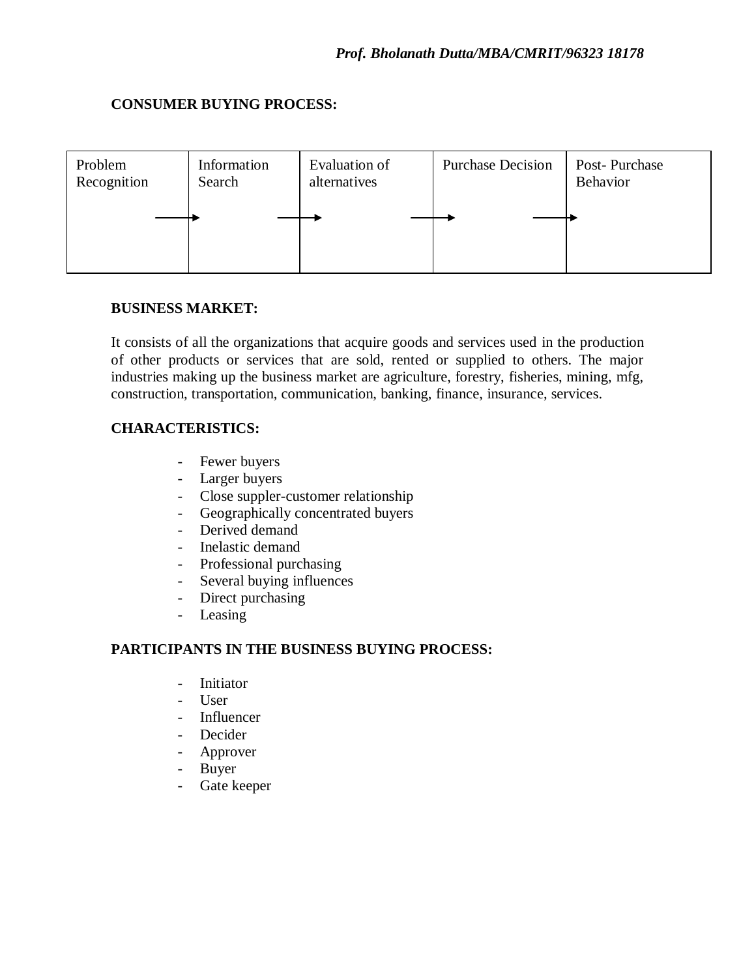#### **CONSUMER BUYING PROCESS:**



#### **BUSINESS MARKET:**

It consists of all the organizations that acquire goods and services used in the production of other products or services that are sold, rented or supplied to others. The major industries making up the business market are agriculture, forestry, fisheries, mining, mfg, construction, transportation, communication, banking, finance, insurance, services.

#### **CHARACTERISTICS:**

- Fewer buyers
- Larger buyers
- Close suppler-customer relationship
- Geographically concentrated buyers
- Derived demand
- Inelastic demand
- Professional purchasing
- Several buying influences
- Direct purchasing
- Leasing

#### **PARTICIPANTS IN THE BUSINESS BUYING PROCESS:**

- Initiator
- User
- Influencer
- Decider
- Approver
- **Buyer**
- Gate keeper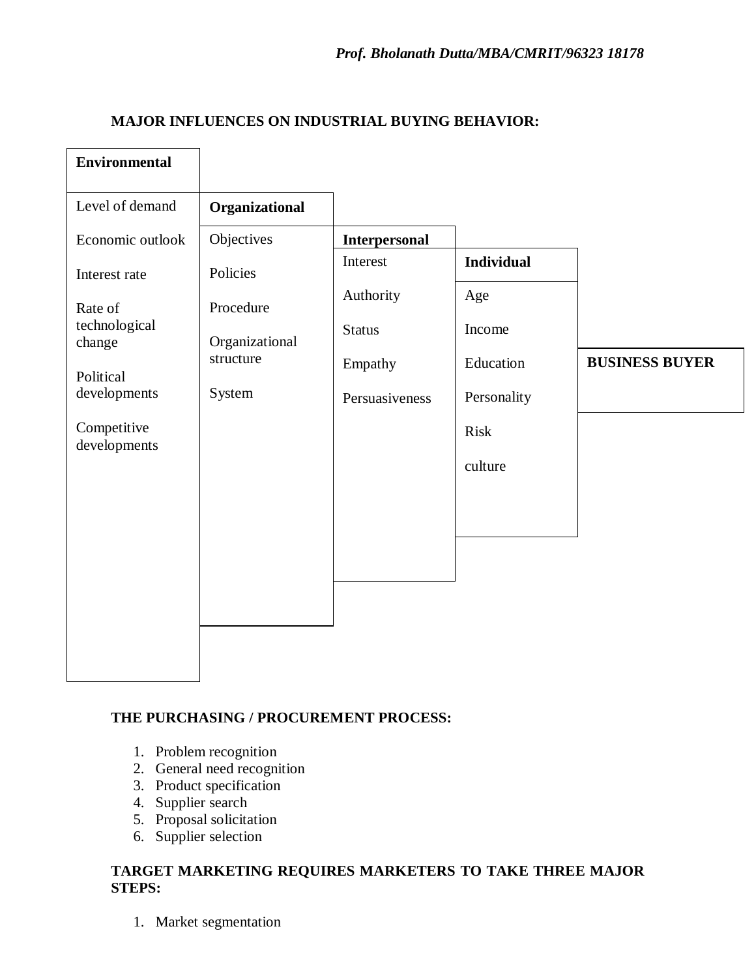# **MAJOR INFLUENCES ON INDUSTRIAL BUYING BEHAVIOR:**

| <b>Environmental</b>        |                |                      |                   |                       |
|-----------------------------|----------------|----------------------|-------------------|-----------------------|
| Level of demand             | Organizational |                      |                   |                       |
| Economic outlook            | Objectives     | <b>Interpersonal</b> |                   |                       |
| Interest rate               | Policies       | Interest             | <b>Individual</b> |                       |
| Rate of                     | Procedure      | Authority            | Age               |                       |
| technological<br>change     | Organizational | <b>Status</b>        | Income            |                       |
| Political                   | structure      | Empathy              | Education         | <b>BUSINESS BUYER</b> |
| developments                | System         | Persuasiveness       | Personality       |                       |
| Competitive<br>developments |                |                      | <b>Risk</b>       |                       |
|                             |                |                      | culture           |                       |
|                             |                |                      |                   |                       |
|                             |                |                      |                   |                       |
|                             |                |                      |                   |                       |
|                             |                |                      |                   |                       |
|                             |                |                      |                   |                       |
|                             |                |                      |                   |                       |
|                             |                |                      |                   |                       |

# **THE PURCHASING / PROCUREMENT PROCESS:**

- 1. Problem recognition
- 2. General need recognition
- 3. Product specification
- 4. Supplier search
- 5. Proposal solicitation
- 6. Supplier selection

# **TARGET MARKETING REQUIRES MARKETERS TO TAKE THREE MAJOR STEPS:**

1. Market segmentation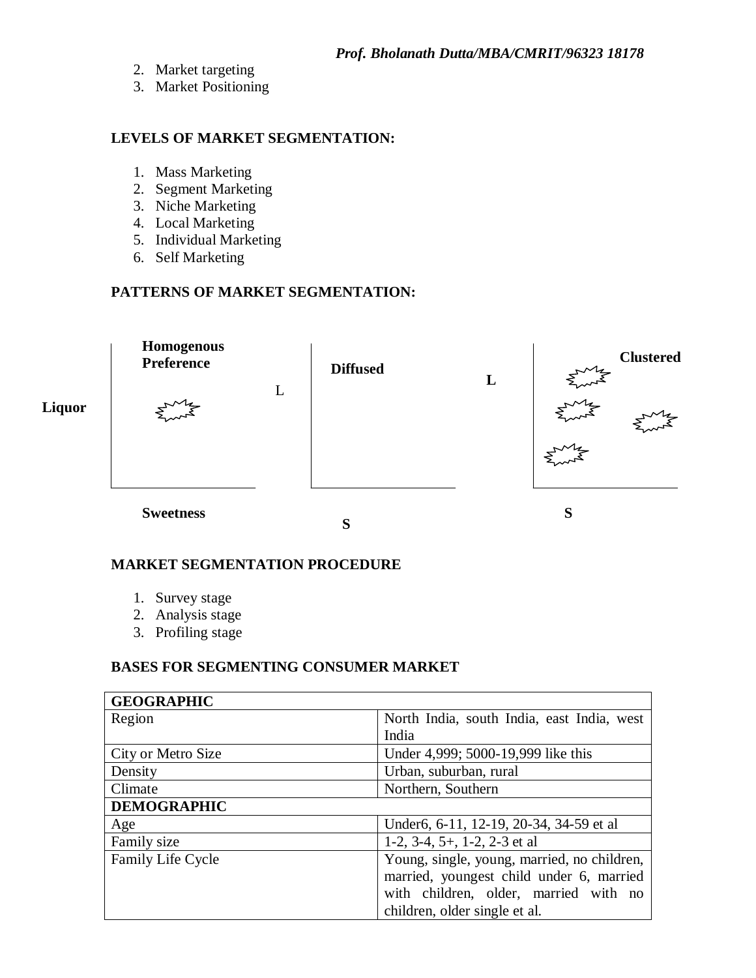- 2. Market targeting
- 3. Market Positioning

#### **LEVELS OF MARKET SEGMENTATION:**

- 1. Mass Marketing
- 2. Segment Marketing
- 3. Niche Marketing
- 4. Local Marketing
- 5. Individual Marketing
- 6. Self Marketing

#### **PATTERNS OF MARKET SEGMENTATION:**



#### **MARKET SEGMENTATION PROCEDURE**

- 1. Survey stage
- 2. Analysis stage
- 3. Profiling stage

#### **BASES FOR SEGMENTING CONSUMER MARKET**

| <b>GEOGRAPHIC</b>        |                                             |  |  |
|--------------------------|---------------------------------------------|--|--|
| Region                   | North India, south India, east India, west  |  |  |
|                          | India                                       |  |  |
| City or Metro Size       | Under 4,999; 5000-19,999 like this          |  |  |
| Density                  | Urban, suburban, rural                      |  |  |
| Climate                  | Northern, Southern                          |  |  |
| <b>DEMOGRAPHIC</b>       |                                             |  |  |
| Age                      | Under6, 6-11, 12-19, 20-34, 34-59 et al     |  |  |
| Family size              | 1-2, 3-4, 5+, 1-2, 2-3 et al.               |  |  |
| <b>Family Life Cycle</b> | Young, single, young, married, no children, |  |  |
|                          | married, youngest child under 6, married    |  |  |
|                          | with children, older, married with no       |  |  |
|                          | children, older single et al.               |  |  |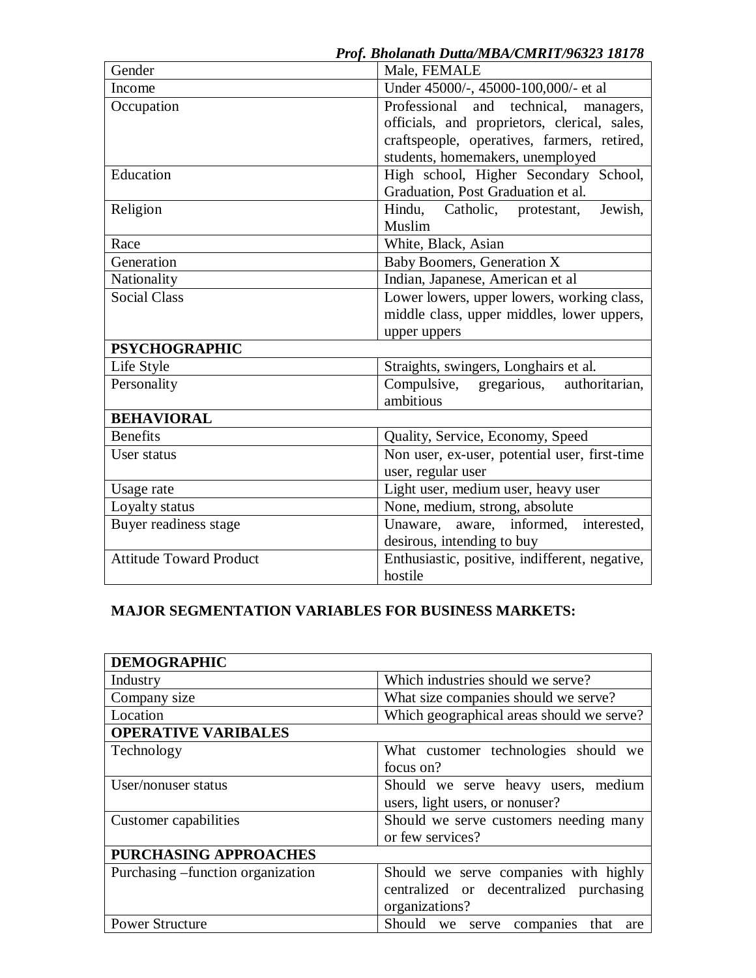Gender Male, FEMALE Income Under 45000/-, 45000-100,000/- et al Occupation Professional and technical, managers, officials, and proprietors, clerical, sales, craftspeople, operatives, farmers, retired, students, homemakers, unemployed Education High school, Higher Secondary School, Graduation, Post Graduation et al. Religion Hindu, Catholic, protestant, Jewish, Muslim Race White, Black, Asian Generation Baby Boomers, Generation X Nationality Indian, Japanese, American et al Social Class Lower lowers, upper lowers, working class, middle class, upper middles, lower uppers, upper uppers **PSYCHOGRAPHIC** Life Style Straights, swingers, Longhairs et al. Personality Compulsive, gregarious, authoritarian, ambitious **BEHAVIORAL** Benefits Quality, Service, Economy, Speed User status Non user, ex-user, potential user, first-time user, regular user Usage rate Light user, medium user, heavy user Loyalty status None, medium, strong, absolute Buyer readiness stage Unaware, aware, informed, interested, desirous, intending to buy Attitude Toward Product Fundamerical Enthusiastic, positive, indifferent, negative, hostile

*Prof. Bholanath Dutta/MBA/CMRIT/96323 18178*

# **MAJOR SEGMENTATION VARIABLES FOR BUSINESS MARKETS:**

| <b>DEMOGRAPHIC</b>                 |                                             |  |  |
|------------------------------------|---------------------------------------------|--|--|
| Industry                           | Which industries should we serve?           |  |  |
| Company size                       | What size companies should we serve?        |  |  |
| Location                           | Which geographical areas should we serve?   |  |  |
| <b>OPERATIVE VARIBALES</b>         |                                             |  |  |
| Technology                         | What customer technologies should we        |  |  |
|                                    | focus on?                                   |  |  |
| User/nonuser status                | Should we serve heavy users, medium         |  |  |
|                                    | users, light users, or nonuser?             |  |  |
| Customer capabilities              | Should we serve customers needing many      |  |  |
|                                    | or few services?                            |  |  |
| <b>PURCHASING APPROACHES</b>       |                                             |  |  |
| Purchasing – function organization | Should we serve companies with highly       |  |  |
|                                    | centralized or decentralized purchasing     |  |  |
|                                    | organizations?                              |  |  |
| <b>Power Structure</b>             | Should we serve<br>companies<br>that<br>are |  |  |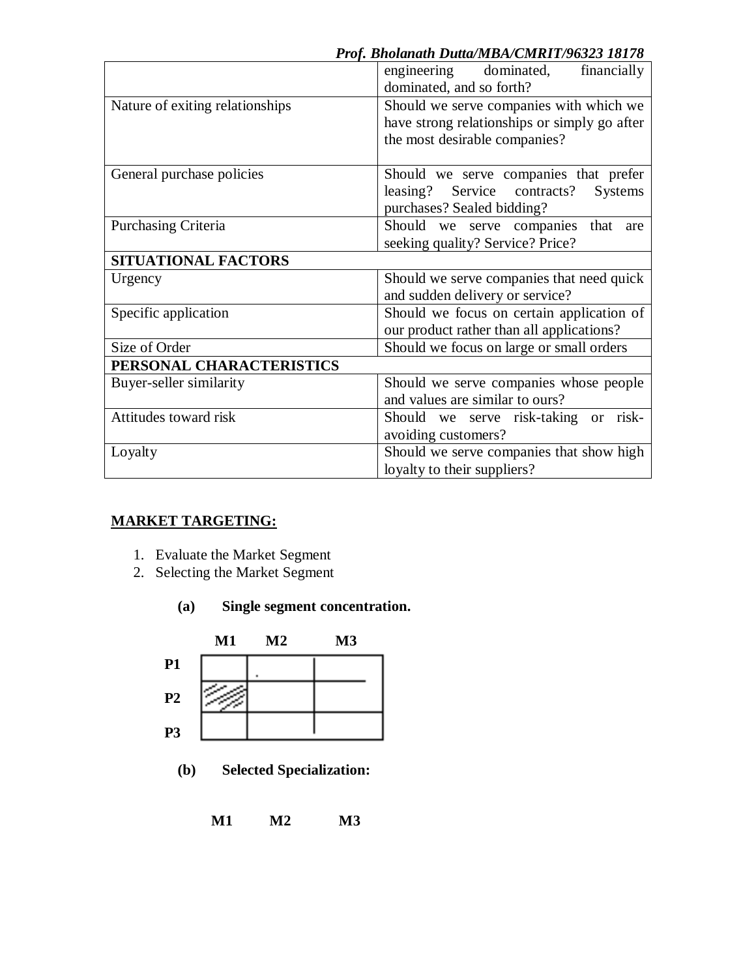|                                 | engineering dominated,<br>financially        |  |  |  |  |
|---------------------------------|----------------------------------------------|--|--|--|--|
|                                 | dominated, and so forth?                     |  |  |  |  |
|                                 |                                              |  |  |  |  |
| Nature of exiting relationships | Should we serve companies with which we      |  |  |  |  |
|                                 | have strong relationships or simply go after |  |  |  |  |
|                                 | the most desirable companies?                |  |  |  |  |
|                                 |                                              |  |  |  |  |
| General purchase policies       | Should we serve companies that prefer        |  |  |  |  |
|                                 | leasing? Service contracts?<br>Systems       |  |  |  |  |
|                                 | purchases? Sealed bidding?                   |  |  |  |  |
| <b>Purchasing Criteria</b>      | Should we serve companies that are           |  |  |  |  |
|                                 | seeking quality? Service? Price?             |  |  |  |  |
| <b>SITUATIONAL FACTORS</b>      |                                              |  |  |  |  |
| Urgency                         | Should we serve companies that need quick    |  |  |  |  |
|                                 | and sudden delivery or service?              |  |  |  |  |
| Specific application            | Should we focus on certain application of    |  |  |  |  |
|                                 | our product rather than all applications?    |  |  |  |  |
| Size of Order                   | Should we focus on large or small orders     |  |  |  |  |
| PERSONAL CHARACTERISTICS        |                                              |  |  |  |  |
| Buyer-seller similarity         | Should we serve companies whose people       |  |  |  |  |
|                                 | and values are similar to ours?              |  |  |  |  |
| Attitudes toward risk           | Should we serve risk-taking or risk-         |  |  |  |  |
|                                 | avoiding customers?                          |  |  |  |  |
| Loyalty                         | Should we serve companies that show high     |  |  |  |  |
|                                 | loyalty to their suppliers?                  |  |  |  |  |

# **MARKET TARGETING:**

- 1. Evaluate the Market Segment
- 2. Selecting the Market Segment
	- **(a) Single segment concentration.**



- **(b) Selected Specialization:**
	- **M1 M2 M3**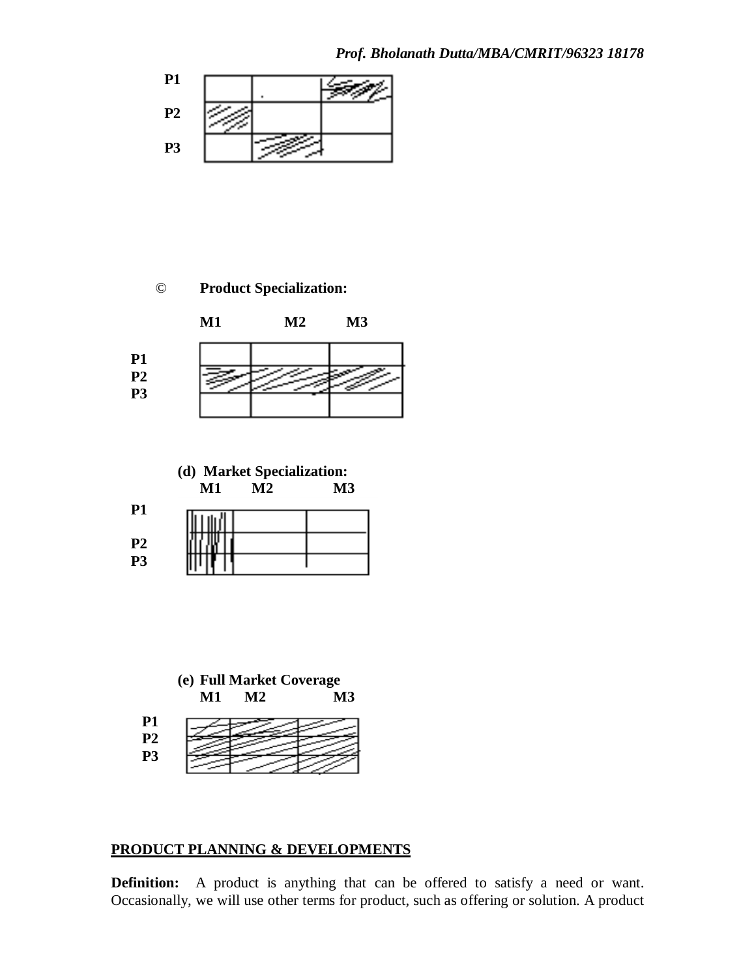#### *Prof. Bholanath Dutta/MBA/CMRIT/96323 18178*









|                | .   |  |
|----------------|-----|--|
| P <sub>2</sub> | . . |  |
| P <sub>3</sub> |     |  |
|                |     |  |



# **PRODUCT PLANNING & DEVELOPMENTS**

**Definition:** A product is anything that can be offered to satisfy a need or want. Occasionally, we will use other terms for product, such as offering or solution. A product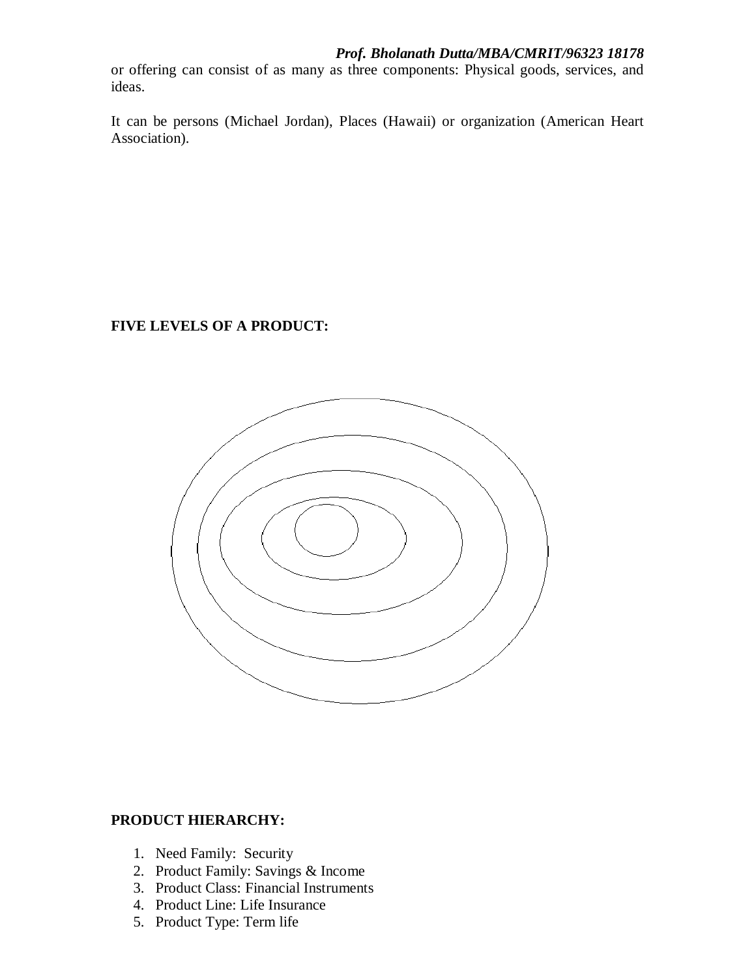or offering can consist of as many as three components: Physical goods, services, and ideas.

It can be persons (Michael Jordan), Places (Hawaii) or organization (American Heart Association).

**FIVE LEVELS OF A PRODUCT:**



#### **PRODUCT HIERARCHY:**

- 1. Need Family: Security
- 2. Product Family: Savings & Income
- 3. Product Class: Financial Instruments
- 4. Product Line: Life Insurance
- 5. Product Type: Term life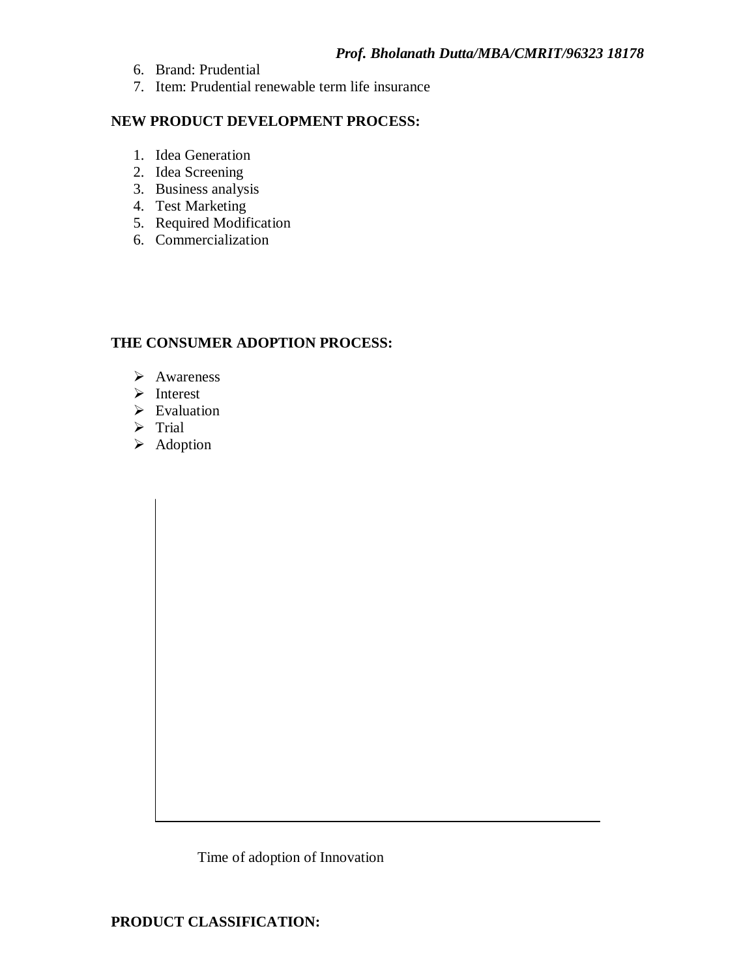- 6. Brand: Prudential
- 7. Item: Prudential renewable term life insurance

#### **NEW PRODUCT DEVELOPMENT PROCESS:**

- 1. Idea Generation
- 2. Idea Screening
- 3. Business analysis
- 4. Test Marketing
- 5. Required Modification
- 6. Commercialization

# **THE CONSUMER ADOPTION PROCESS:**

- > Awareness
- $\triangleright$  Interest
- $\triangleright$  Evaluation
- $\triangleright$  Trial
- $\triangleright$  Adoption

Time of adoption of Innovation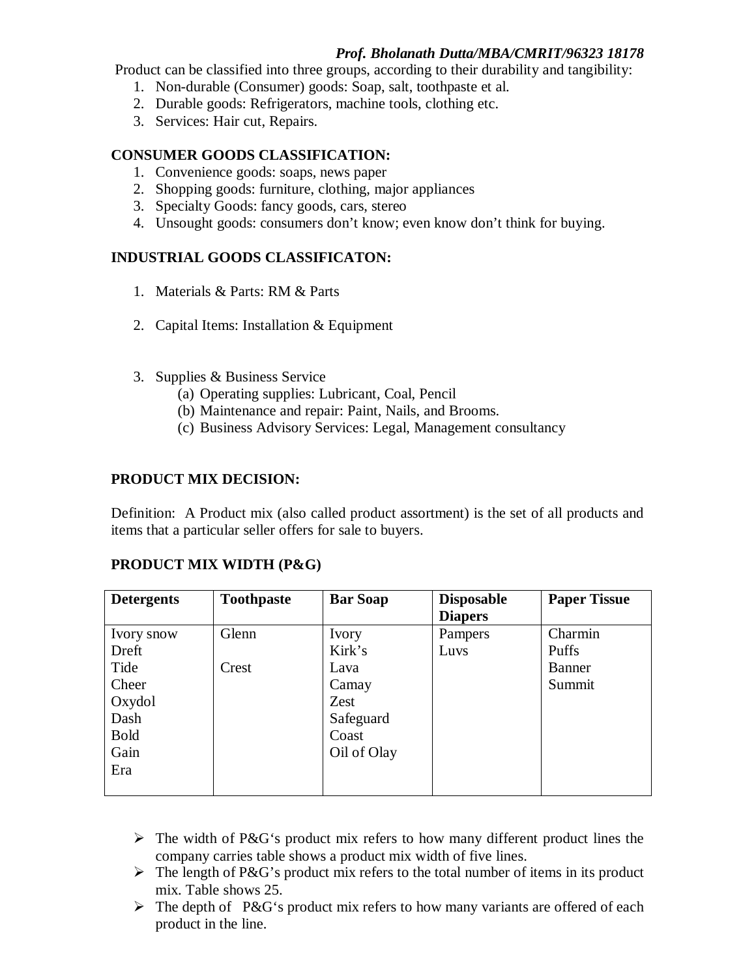# *Prof. Bholanath Dutta/MBA/CMRIT/96323 18178*

Product can be classified into three groups, according to their durability and tangibility:

- 1. Non-durable (Consumer) goods: Soap, salt, toothpaste et al.
- 2. Durable goods: Refrigerators, machine tools, clothing etc.
- 3. Services: Hair cut, Repairs.

#### **CONSUMER GOODS CLASSIFICATION:**

- 1. Convenience goods: soaps, news paper
- 2. Shopping goods: furniture, clothing, major appliances
- 3. Specialty Goods: fancy goods, cars, stereo
- 4. Unsought goods: consumers don't know; even know don't think for buying.

# **INDUSTRIAL GOODS CLASSIFICATON:**

- 1. Materials & Parts: RM & Parts
- 2. Capital Items: Installation & Equipment
- 3. Supplies & Business Service
	- (a) Operating supplies: Lubricant, Coal, Pencil
	- (b) Maintenance and repair: Paint, Nails, and Brooms.
	- (c) Business Advisory Services: Legal, Management consultancy

#### **PRODUCT MIX DECISION:**

Definition: A Product mix (also called product assortment) is the set of all products and items that a particular seller offers for sale to buyers.

| <b>Detergents</b> | <b>Toothpaste</b> | <b>Bar Soap</b> | <b>Disposable</b> | <b>Paper Tissue</b> |
|-------------------|-------------------|-----------------|-------------------|---------------------|
|                   |                   |                 | <b>Diapers</b>    |                     |
| Ivory snow        | Glenn             | Ivory           | Pampers           | Charmin             |
| Dreft             |                   | Kirk's          | Luvs              | <b>Puffs</b>        |
| Tide              | Crest             | Lava            |                   | Banner              |
| Cheer             |                   | Camay           |                   | Summit              |
| Oxydol            |                   | Zest            |                   |                     |
| Dash              |                   | Safeguard       |                   |                     |
| <b>Bold</b>       |                   | Coast           |                   |                     |
| Gain              |                   | Oil of Olay     |                   |                     |
| Era               |                   |                 |                   |                     |
|                   |                   |                 |                   |                     |

# **PRODUCT MIX WIDTH (P&G)**

- $\triangleright$  The width of P&G's product mix refers to how many different product lines the company carries table shows a product mix width of five lines.
- $\triangleright$  The length of P&G's product mix refers to the total number of items in its product mix. Table shows 25.
- $\triangleright$  The depth of P&G's product mix refers to how many variants are offered of each product in the line.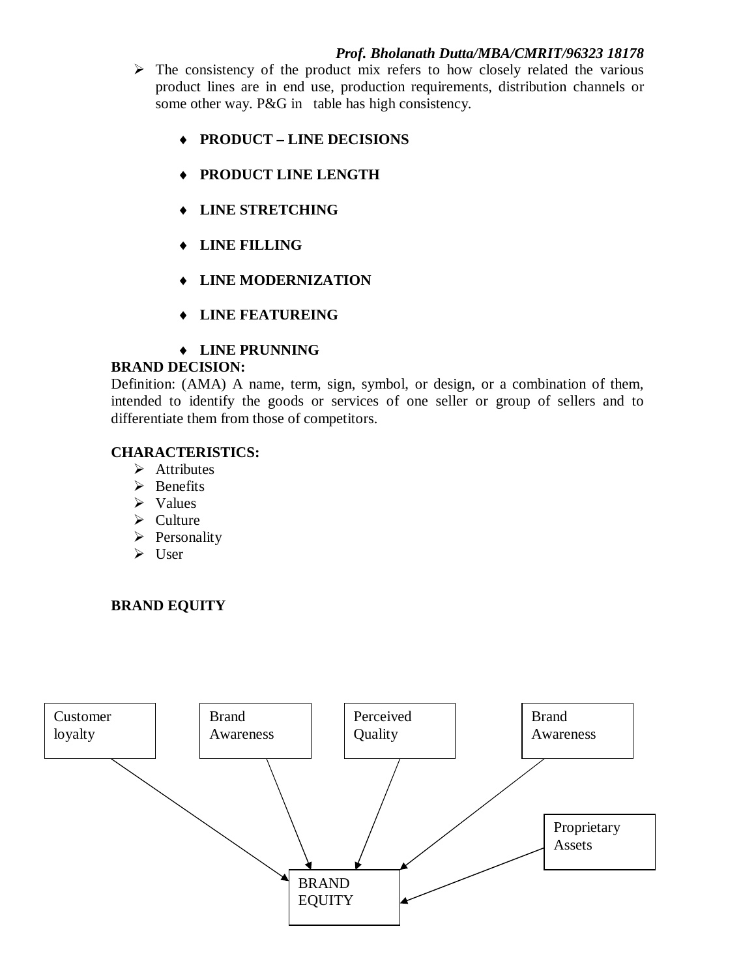# *Prof. Bholanath Dutta/MBA/CMRIT/96323 18178*

- $\triangleright$  The consistency of the product mix refers to how closely related the various product lines are in end use, production requirements, distribution channels or some other way. P&G in table has high consistency.
	- **PRODUCT – LINE DECISIONS**
	- **PRODUCT LINE LENGTH**
	- **LINE STRETCHING**
	- **LINE FILLING**
	- **LINE MODERNIZATION**
	- **LINE FEATUREING**
	- **LINE PRUNNING**

# **BRAND DECISION:**

Definition: (AMA) A name, term, sign, symbol, or design, or a combination of them, intended to identify the goods or services of one seller or group of sellers and to differentiate them from those of competitors.

#### **CHARACTERISTICS:**

- $\triangleright$  Attributes
- $\triangleright$  Benefits
- $\triangleright$  Values
- $\triangleright$  Culture
- $\triangleright$  Personality
- $\triangleright$  User

# **BRAND EQUITY**

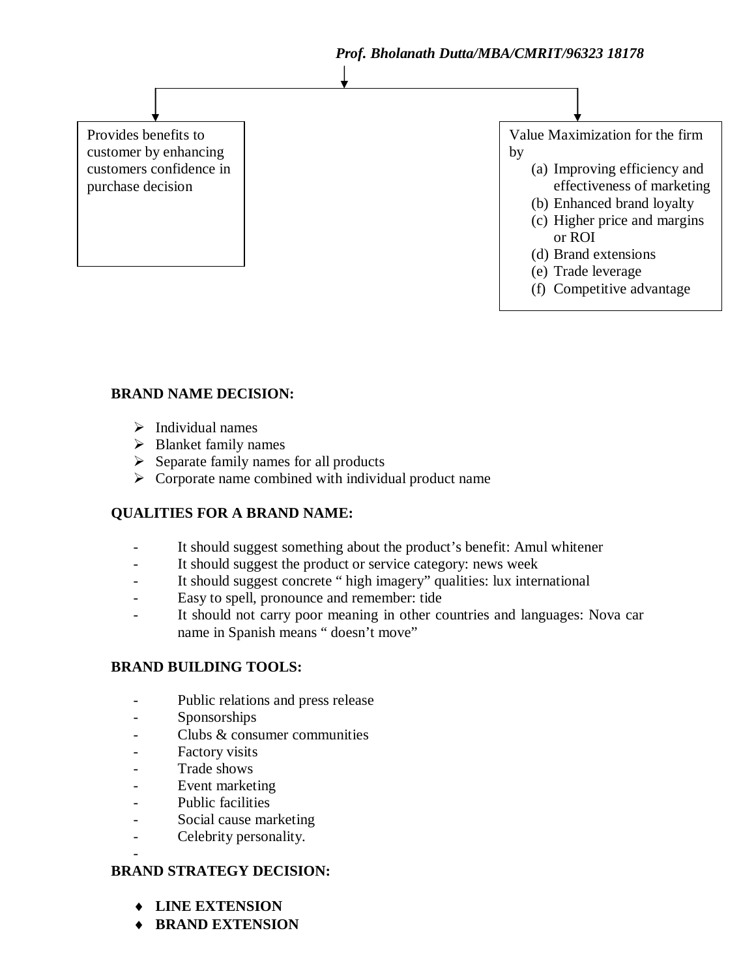

#### **BRAND NAME DECISION:**

- $\triangleright$  Individual names
- $\triangleright$  Blanket family names
- $\triangleright$  Separate family names for all products
- $\triangleright$  Corporate name combined with individual product name

# **QUALITIES FOR A BRAND NAME:**

- It should suggest something about the product's benefit: Amul whitener
- It should suggest the product or service category: news week
- It should suggest concrete " high imagery" qualities: lux international
- Easy to spell, pronounce and remember: tide
- It should not carry poor meaning in other countries and languages: Nova car name in Spanish means " doesn't move"

# **BRAND BUILDING TOOLS:**

- Public relations and press release
- **Sponsorships**
- Clubs & consumer communities
- Factory visits
- Trade shows
- Event marketing
- Public facilities

-

- Social cause marketing
- Celebrity personality.

# **BRAND STRATEGY DECISION:**

- **LINE EXTENSION**
- **BRAND EXTENSION**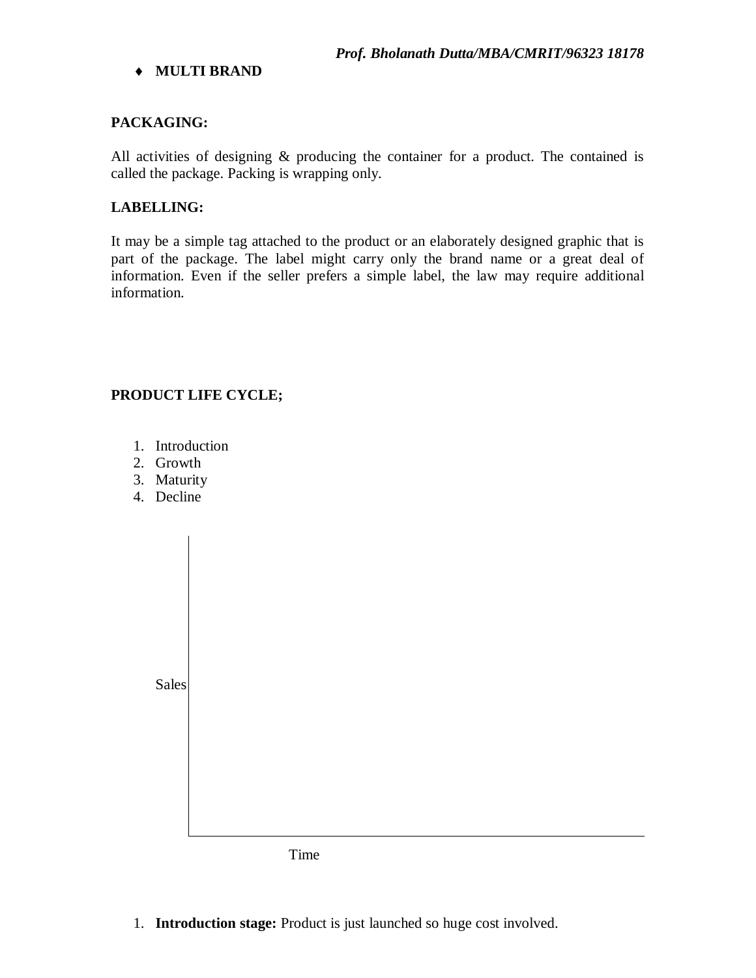#### **MULTI BRAND**

#### **PACKAGING:**

All activities of designing & producing the container for a product. The contained is called the package. Packing is wrapping only.

#### **LABELLING:**

It may be a simple tag attached to the product or an elaborately designed graphic that is part of the package. The label might carry only the brand name or a great deal of information. Even if the seller prefers a simple label, the law may require additional information.

# **PRODUCT LIFE CYCLE;**

- 1. Introduction
- 2. Growth
- 3. Maturity
- 4. Decline

Sales

Time

1. **Introduction stage:** Product is just launched so huge cost involved.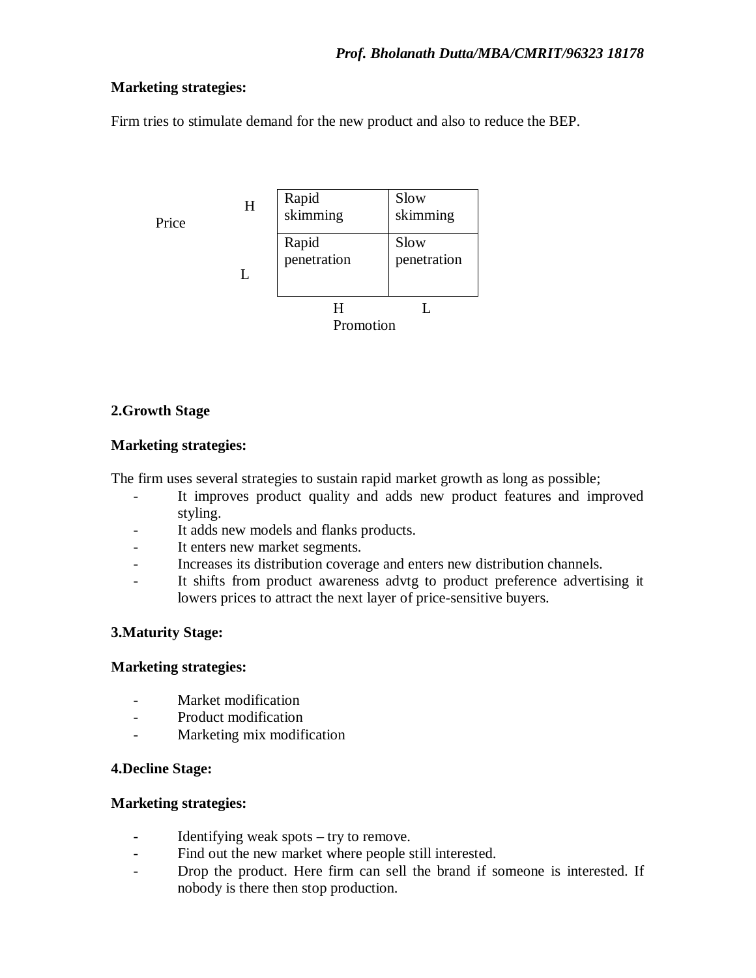## **Marketing strategies:**

Firm tries to stimulate demand for the new product and also to reduce the BEP.



#### **2.Growth Stage**

#### **Marketing strategies:**

The firm uses several strategies to sustain rapid market growth as long as possible;

- It improves product quality and adds new product features and improved styling.
- It adds new models and flanks products.
- It enters new market segments.
- Increases its distribution coverage and enters new distribution channels.
- It shifts from product awareness advtg to product preference advertising it lowers prices to attract the next layer of price-sensitive buyers.

#### **3.Maturity Stage:**

#### **Marketing strategies:**

- Market modification
- Product modification
- Marketing mix modification

#### **4.Decline Stage:**

#### **Marketing strategies:**

- Identifying weak spots try to remove.
- Find out the new market where people still interested.
- Drop the product. Here firm can sell the brand if someone is interested. If nobody is there then stop production.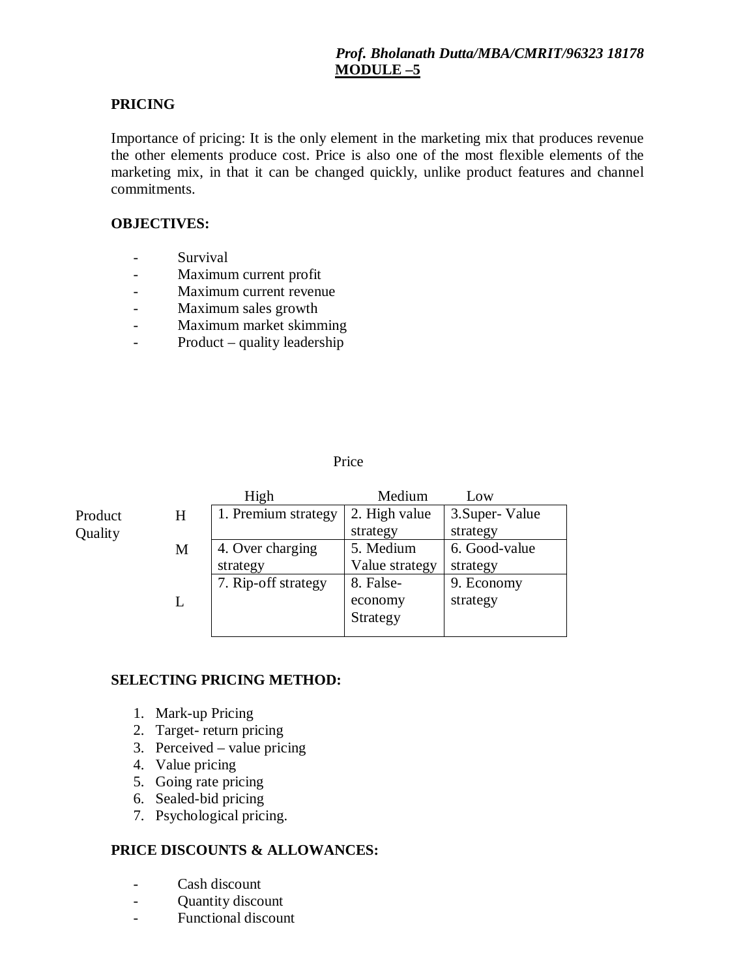# *Prof. Bholanath Dutta/MBA/CMRIT/96323 18178* **MODULE –5**

#### **PRICING**

Importance of pricing: It is the only element in the marketing mix that produces revenue the other elements produce cost. Price is also one of the most flexible elements of the marketing mix, in that it can be changed quickly, unlike product features and channel commitments.

#### **OBJECTIVES:**

- Survival
- Maximum current profit
- Maximum current revenue
- Maximum sales growth
- Maximum market skimming
- Product quality leadership

#### Price

|         |   | High                | Medium         | Low              |
|---------|---|---------------------|----------------|------------------|
| Product | H | 1. Premium strategy | 2. High value  | 3. Super - Value |
| Quality |   |                     | strategy       | strategy         |
|         | M | 4. Over charging    | 5. Medium      | 6. Good-value    |
|         |   | strategy            | Value strategy | strategy         |
|         |   | 7. Rip-off strategy | 8. False-      | 9. Economy       |
|         |   |                     | economy        | strategy         |
|         |   |                     | Strategy       |                  |
|         |   |                     |                |                  |

# **SELECTING PRICING METHOD:**

- 1. Mark-up Pricing
- 2. Target- return pricing
- 3. Perceived value pricing
- 4. Value pricing
- 5. Going rate pricing
- 6. Sealed-bid pricing
- 7. Psychological pricing.

# **PRICE DISCOUNTS & ALLOWANCES:**

- Cash discount
- Quantity discount
- Functional discount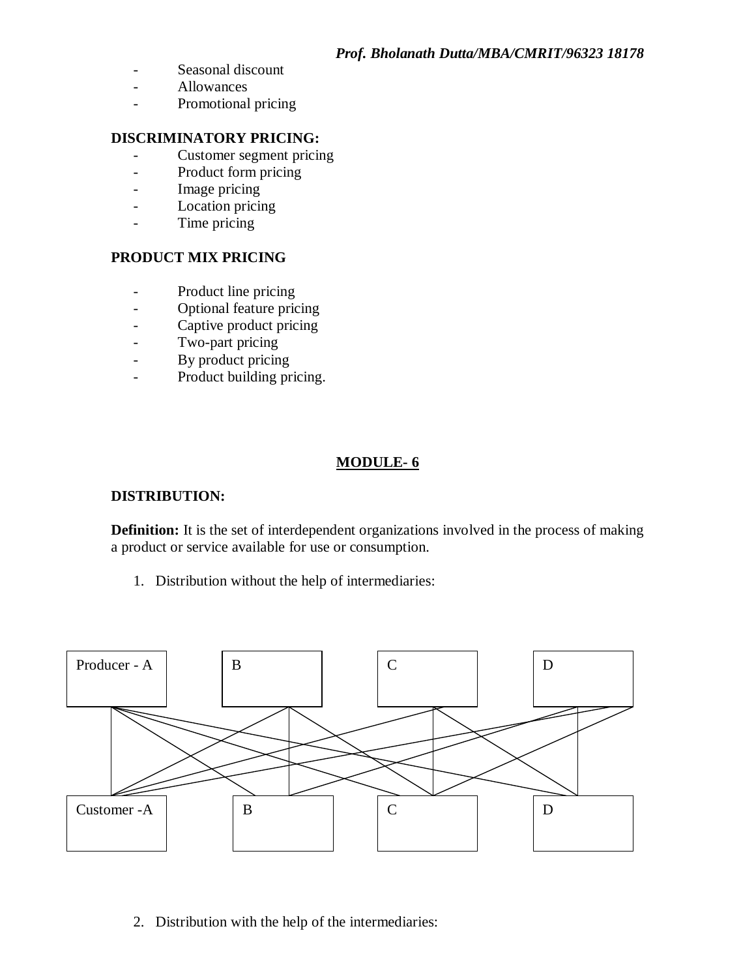- Seasonal discount
- Allowances
- Promotional pricing

#### **DISCRIMINATORY PRICING:**

- Customer segment pricing
- Product form pricing
- Image pricing
- Location pricing
- Time pricing

#### **PRODUCT MIX PRICING**

- Product line pricing
- Optional feature pricing
- Captive product pricing
- Two-part pricing
- By product pricing
- Product building pricing.

# **MODULE- 6**

#### **DISTRIBUTION:**

**Definition:** It is the set of interdependent organizations involved in the process of making a product or service available for use or consumption.

1. Distribution without the help of intermediaries:



2. Distribution with the help of the intermediaries: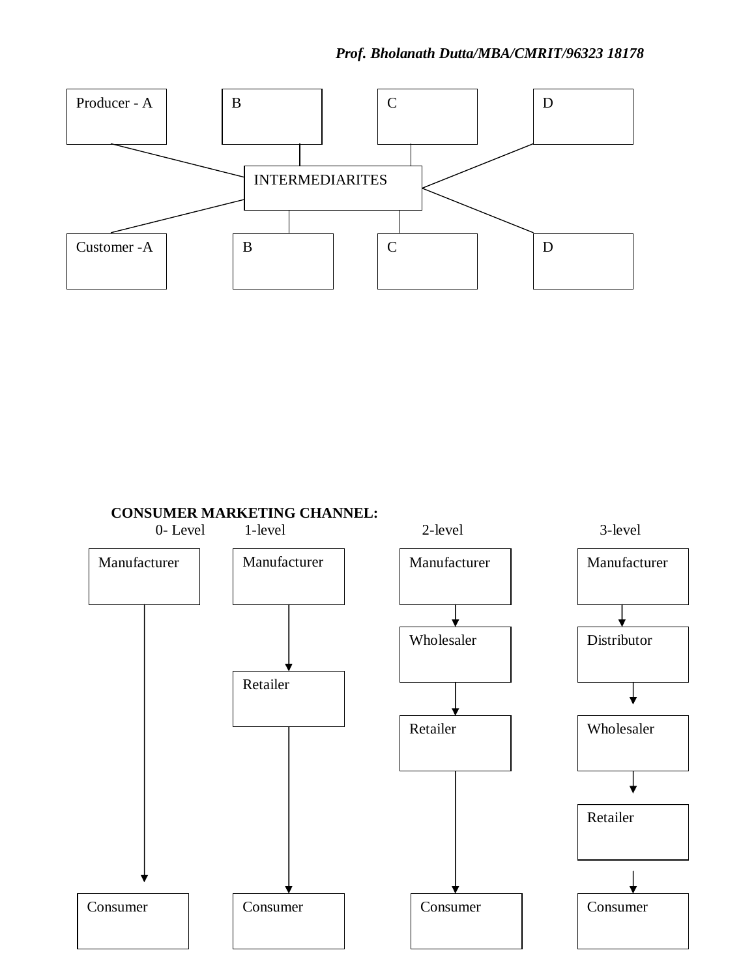#### *Prof. Bholanath Dutta/MBA/CMRIT/96323 18178*



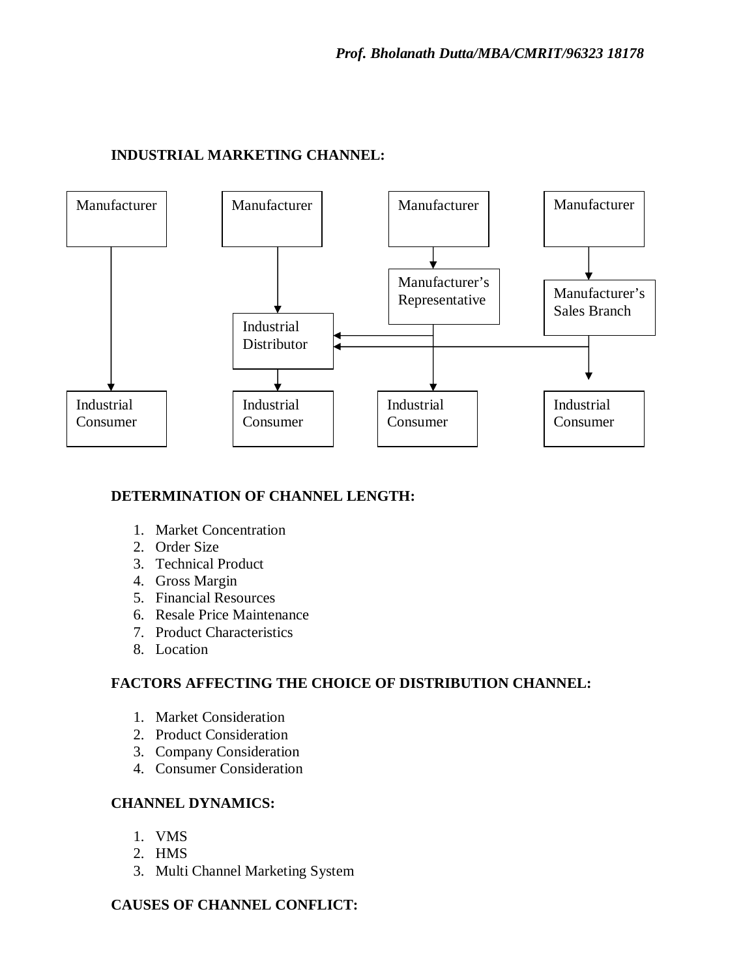

# **INDUSTRIAL MARKETING CHANNEL:**

#### **DETERMINATION OF CHANNEL LENGTH:**

- 1. Market Concentration
- 2. Order Size
- 3. Technical Product
- 4. Gross Margin
- 5. Financial Resources
- 6. Resale Price Maintenance
- 7. Product Characteristics
- 8. Location

#### **FACTORS AFFECTING THE CHOICE OF DISTRIBUTION CHANNEL:**

- 1. Market Consideration
- 2. Product Consideration
- 3. Company Consideration
- 4. Consumer Consideration

#### **CHANNEL DYNAMICS:**

- 1. VMS
- 2. HMS
- 3. Multi Channel Marketing System

#### **CAUSES OF CHANNEL CONFLICT:**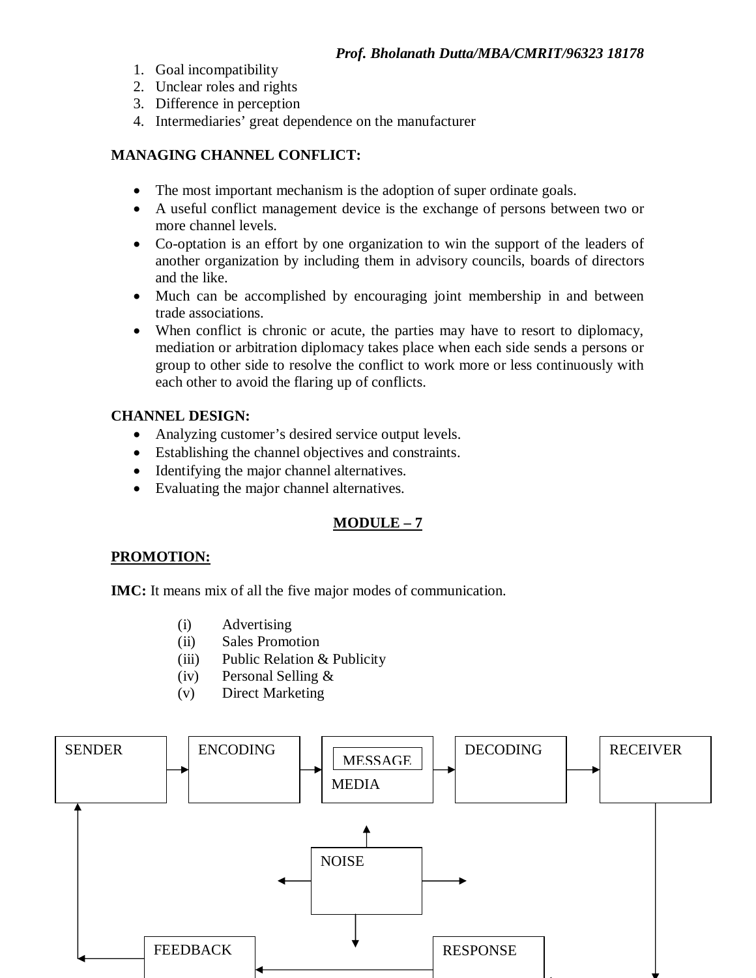- 1. Goal incompatibility
- 2. Unclear roles and rights
- 3. Difference in perception
- 4. Intermediaries' great dependence on the manufacturer

# **MANAGING CHANNEL CONFLICT:**

- The most important mechanism is the adoption of super ordinate goals.
- A useful conflict management device is the exchange of persons between two or more channel levels.
- Co-optation is an effort by one organization to win the support of the leaders of another organization by including them in advisory councils, boards of directors and the like.
- Much can be accomplished by encouraging joint membership in and between trade associations.
- When conflict is chronic or acute, the parties may have to resort to diplomacy, mediation or arbitration diplomacy takes place when each side sends a persons or group to other side to resolve the conflict to work more or less continuously with each other to avoid the flaring up of conflicts.

#### **CHANNEL DESIGN:**

- Analyzing customer's desired service output levels.
- Establishing the channel objectives and constraints.
- Identifying the major channel alternatives.
- Evaluating the major channel alternatives.

# **MODULE – 7**

#### **PROMOTION:**

**IMC:** It means mix of all the five major modes of communication.

- (i) Advertising
- (ii) Sales Promotion
- (iii) Public Relation & Publicity
- (iv) Personal Selling &
- (v) Direct Marketing

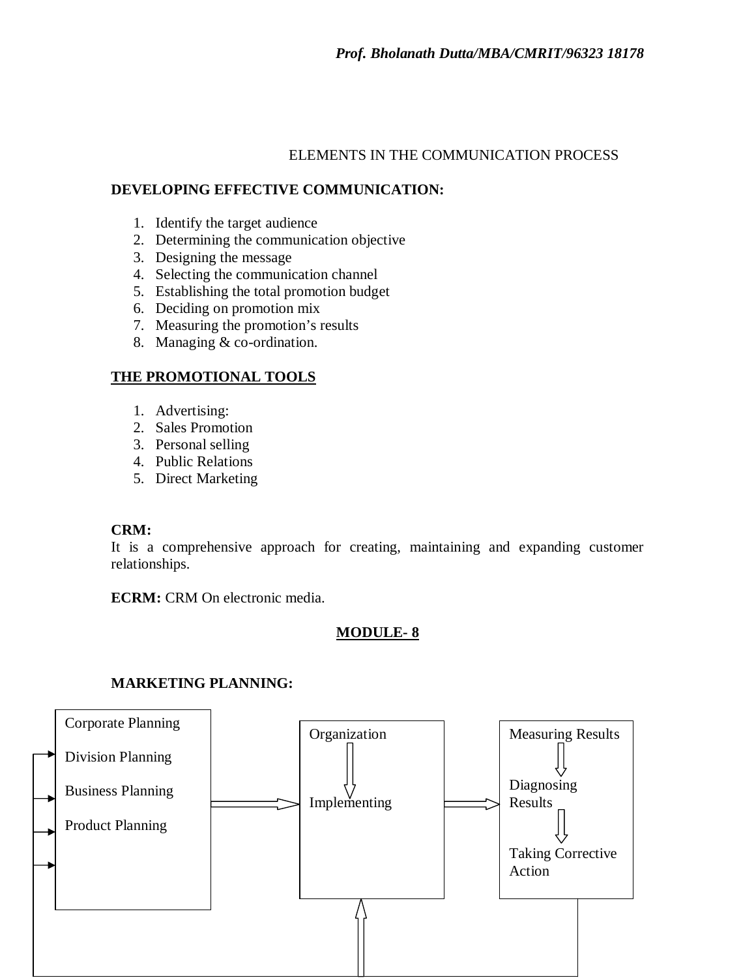#### ELEMENTS IN THE COMMUNICATION PROCESS

# **DEVELOPING EFFECTIVE COMMUNICATION:**

- 1. Identify the target audience
- 2. Determining the communication objective
- 3. Designing the message
- 4. Selecting the communication channel
- 5. Establishing the total promotion budget
- 6. Deciding on promotion mix
- 7. Measuring the promotion's results
- 8. Managing & co-ordination.

# **THE PROMOTIONAL TOOLS**

- 1. Advertising:
- 2. Sales Promotion
- 3. Personal selling
- 4. Public Relations
- 5. Direct Marketing

# **CRM:**

It is a comprehensive approach for creating, maintaining and expanding customer relationships.

**ECRM:** CRM On electronic media.

# **MODULE- 8**

# **MARKETING PLANNING:**

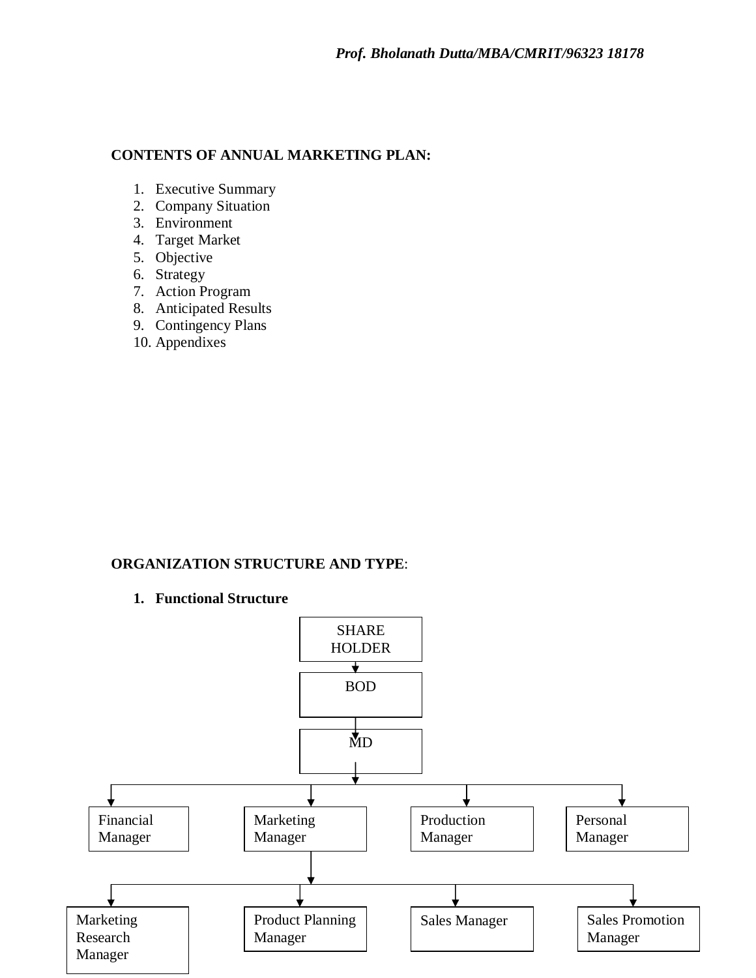#### **CONTENTS OF ANNUAL MARKETING PLAN:**

- 1. Executive Summary
- 2. Company Situation
- 3. Environment
- 4. Target Market
- 5. Objective
- 6. Strategy
- 7. Action Program
- 8. Anticipated Results
- 9. Contingency Plans
- 10. Appendixes

#### **ORGANIZATION STRUCTURE AND TYPE**:

#### **1. Functional Structure**

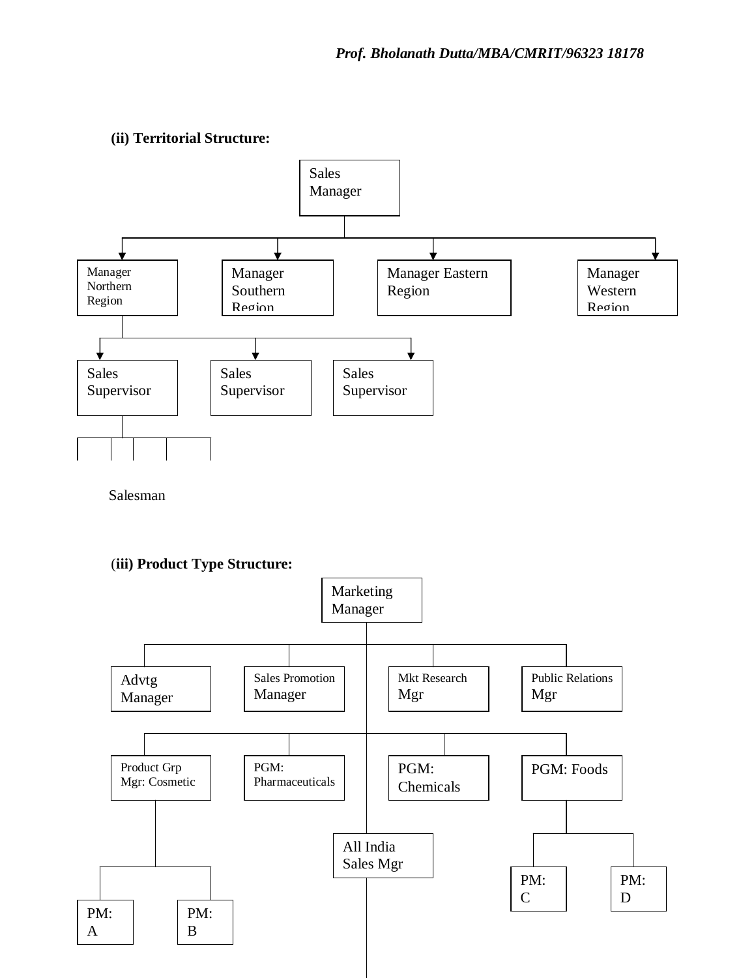# **(ii) Territorial Structure:**



Salesman